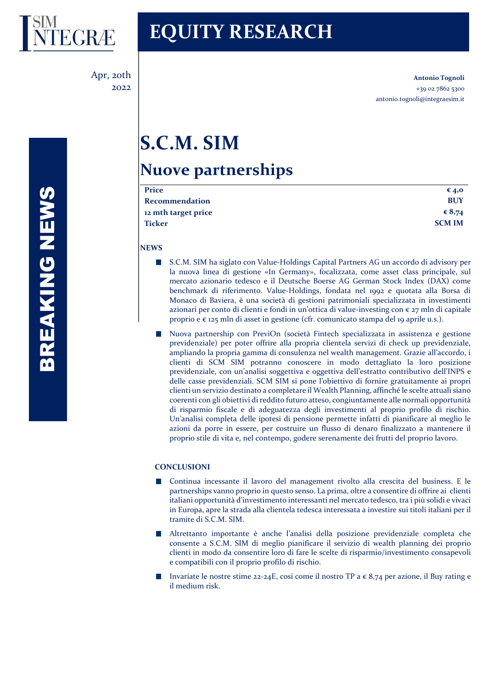

Apr, 20th 2022

# **EQUITY RESEARCH**

**Antonio Tognoli** +39 02 7862 5300 antonio.tognoli@integraesim.it

# **S.C.M. SIM**

# **Nuove partnerships**

| Price               | € 4,0         |
|---------------------|---------------|
| Recommendation      | <b>BUY</b>    |
| 12 mth target price | € $8,74$      |
| Ticker              | <b>SCM IM</b> |
|                     |               |

**NEWS**

- $\sim$ S.C.M. SIM ha siglato con Value-Holdings Capital Partners AG un accordo di advisory per la nuova linea di gestione «In Germany», focalizzata, come asset class principale, sul mercato azionario tedesco e il Deutsche Boerse AG German Stock Index (DAX) come benchmark di riferimento. Value-Holdings, fondata nel 1992 e quotata alla Borsa di Monaco di Baviera, è una società di gestioni patrimoniali specializzata in investimenti azionari per conto di clienti e fondi in un'ottica di value-investing con  $\epsilon$  27 mln di capitale proprio e € 125 mln di asset in gestione (cfr. comunicato stampa del 19 aprile u.s.).
- Nuova partnership con PreviOn (società Fintech specializzata in assistenza e gestione previdenziale) per poter offrire alla propria clientela servizi di check up previdenziale, ampliando la propria gamma di consulenza nel wealth management. Grazie all'accordo, i clienti di SCM SIM potranno conoscere in modo dettagliato la loro posizione previdenziale, con un'analisi soggettiva e oggettiva dell'estratto contributivo dell'INPS e delle casse previdenziali. SCM SIM si pone l'obiettivo di fornire gratuitamente ai propri clienti un servizio destinato a completare il Wealth Planning, affinché le scelte attuali siano coerenti con gli obiettivi di reddito futuro atteso, congiuntamente alle normali opportunità di risparmio fiscale e di adeguatezza degli investimenti al proprio profilo di rischio. Un'analisi completa delle ipotesi di pensione permette infatti di pianificare al meglio le azioni da porre in essere, per costruire un flusso di denaro finalizzato a mantenere il proprio stile di vita e, nel contempo, godere serenamente dei frutti del proprio lavoro.

# **CONCLUSIONI**

- Continua incessante il lavoro del management rivolto alla crescita del business. E le partnerships vanno proprio in questo senso. La prima, oltre a consentire di offrire ai clienti italiani opportunità d'investimento interessanti nel mercato tedesco, tra i più solidi e vivaci in Europa, apre la strada alla clientela tedesca interessata a investire sui titoli italiani per il tramite di S.C.M. SIM.
- Altrettanto importante è anche l'analisi della posizione previdenziale completa che consente a S.C.M. SIM di meglio pianificare il servizio di wealth planning dei proprio clienti in modo da consentire loro di fare le scelte di risparmio/investimento consapevoli e compatibili con il proprio profilo di rischio.
- Invariate le nostre stime 22-24E, cosi come il nostro TP a € 8,74 per azione, il Buy rating e il medium risk.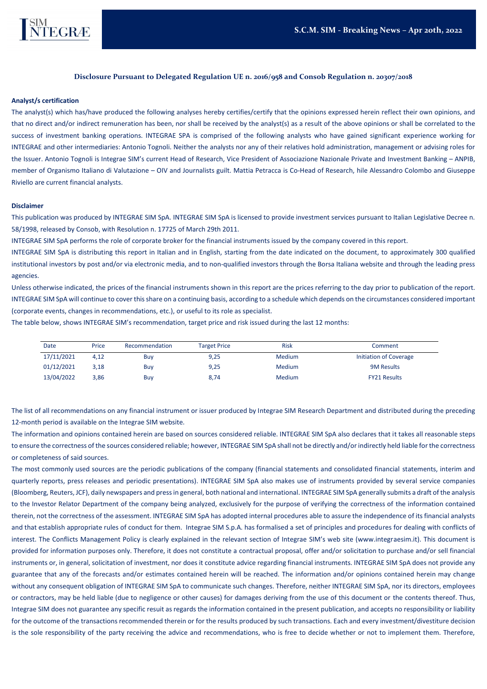

## **Disclosure Pursuant to Delegated Regulation UE n. 2016/958 and Consob Regulation n. 20307/2018**

#### **Analyst/s certification**

The analyst(s) which has/have produced the following analyses hereby certifies/certify that the opinions expressed herein reflect their own opinions, and that no direct and/or indirect remuneration has been, nor shall be received by the analyst(s) as a result of the above opinions or shall be correlated to the success of investment banking operations. INTEGRAE SPA is comprised of the following analysts who have gained significant experience working for INTEGRAE and other intermediaries: Antonio Tognoli. Neither the analysts nor any of their relatives hold administration, management or advising roles for the Issuer. Antonio Tognoli is Integrae SIM's current Head of Research, Vice President of Associazione Nazionale Private and Investment Banking – ANPIB, member of Organismo Italiano di Valutazione – OIV and Journalists guilt. Mattia Petracca is Co-Head of Research, hile Alessandro Colombo and Giuseppe Riviello are current financial analysts.

#### **Disclaimer**

This publication was produced by INTEGRAE SIM SpA. INTEGRAE SIM SpA is licensed to provide investment services pursuant to Italian Legislative Decree n. 58/1998, released by Consob, with Resolution n. 17725 of March 29th 2011.

INTEGRAE SIM SpA performs the role of corporate broker for the financial instruments issued by the company covered in this report.

INTEGRAE SIM SpA is distributing this report in Italian and in English, starting from the date indicated on the document, to approximately 300 qualified institutional investors by post and/or via electronic media, and to non-qualified investors through the Borsa Italiana website and through the leading press agencies.

Unless otherwise indicated, the prices of the financial instruments shown in this report are the prices referring to the day prior to publication of the report. INTEGRAE SIM SpA will continue to cover this share on a continuing basis, according to a schedule which depends on the circumstances considered important (corporate events, changes in recommendations, etc.), or useful to its role as specialist.

The table below, shows INTEGRAE SIM's recommendation, target price and risk issued during the last 12 months:

| Date       | Price | Recommendation | <b>Target Price</b> | <b>Risk</b> | Comment                |
|------------|-------|----------------|---------------------|-------------|------------------------|
| 17/11/2021 | 4.12  | Buy            | 9,25                | Medium      | Initiation of Coverage |
| 01/12/2021 | 3.18  | Buy            | 9,25                | Medium      | <b>9M Results</b>      |
| 13/04/2022 | 3,86  | Buy            | 8,74                | Medium      | <b>FY21 Results</b>    |

The list of all recommendations on any financial instrument or issuer produced by Integrae SIM Research Department and distributed during the preceding 12-month period is available on the Integrae SIM website.

The information and opinions contained herein are based on sources considered reliable. INTEGRAE SIM SpA also declares that it takes all reasonable steps to ensure the correctness of the sources considered reliable; however, INTEGRAE SIM SpA shall not be directly and/or indirectly held liable for the correctness or completeness of said sources.

The most commonly used sources are the periodic publications of the company (financial statements and consolidated financial statements, interim and quarterly reports, press releases and periodic presentations). INTEGRAE SIM SpA also makes use of instruments provided by several service companies (Bloomberg, Reuters, JCF), daily newspapers and press in general, both national and international. INTEGRAE SIM SpA generally submits a draft of the analysis to the Investor Relator Department of the company being analyzed, exclusively for the purpose of verifying the correctness of the information contained therein, not the correctness of the assessment. INTEGRAE SIM SpA has adopted internal procedures able to assure the independence of its financial analysts and that establish appropriate rules of conduct for them. Integrae SIM S.p.A. has formalised a set of principles and procedures for dealing with conflicts of interest. The Conflicts Management Policy is clearly explained in the relevant section of Integrae SIM's web site (www.integraesim.it). This document is provided for information purposes only. Therefore, it does not constitute a contractual proposal, offer and/or solicitation to purchase and/or sell financial instruments or, in general, solicitation of investment, nor does it constitute advice regarding financial instruments. INTEGRAE SIM SpA does not provide any guarantee that any of the forecasts and/or estimates contained herein will be reached. The information and/or opinions contained herein may change without any consequent obligation of INTEGRAE SIM SpA to communicate such changes. Therefore, neither INTEGRAE SIM SpA, nor its directors, employees or contractors, may be held liable (due to negligence or other causes) for damages deriving from the use of this document or the contents thereof. Thus, Integrae SIM does not guarantee any specific resuit as regards the information contained in the present publication, and accepts no responsibility or liability for the outcome of the transactions recommended therein or for the results produced by such transactions. Each and every investment/divestiture decision is the sole responsibility of the party receiving the advice and recommendations, who is free to decide whether or not to implement them. Therefore,